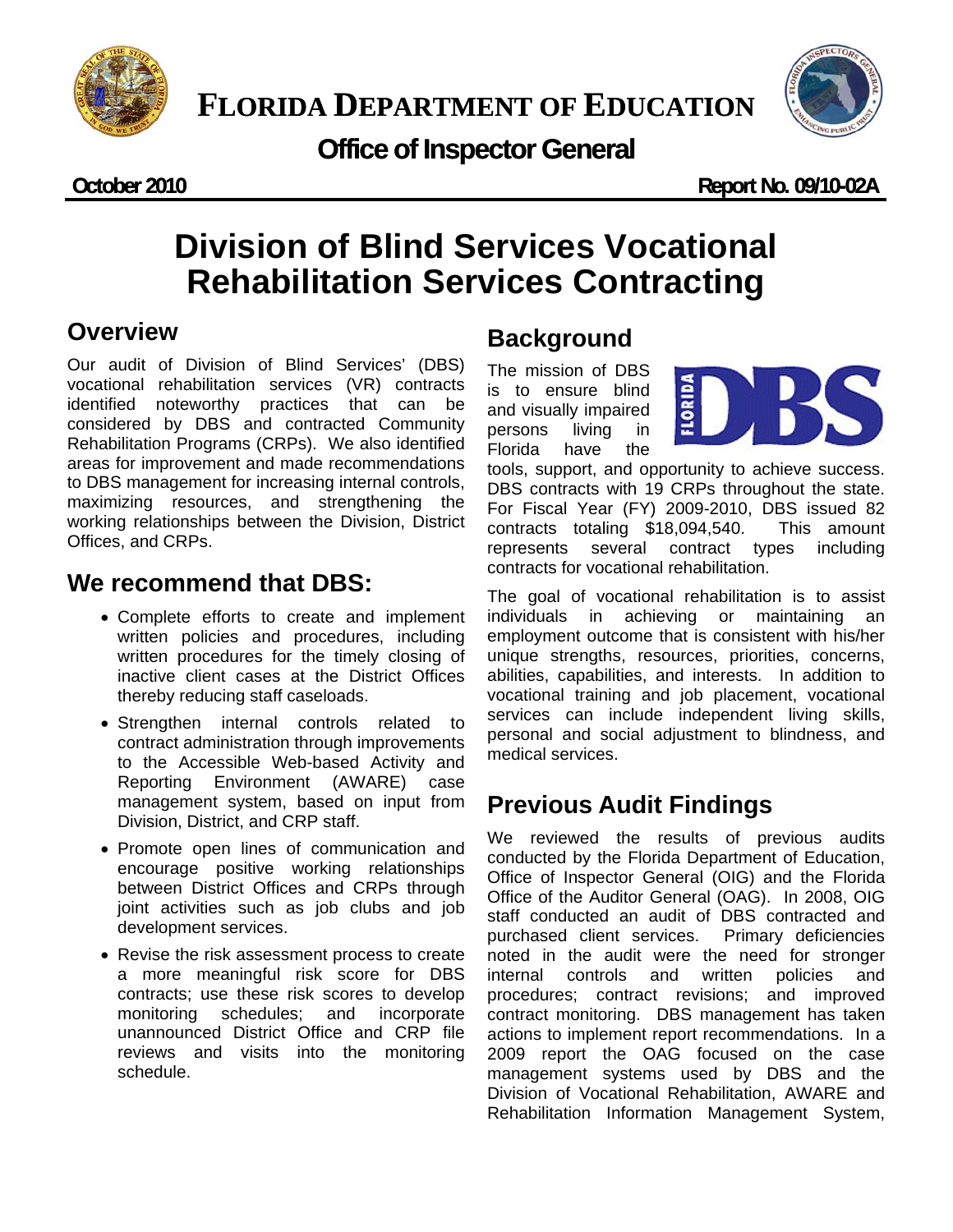

## **Office of Inspector General**

**October 2010 Report No. 09/10-02A**

# **Division of Blind Services Vocational Rehabilitation Services Contracting**

### **Overview**

Our audit of Division of Blind Services' (DBS) vocational rehabilitation services (VR) contracts identified noteworthy practices that can be considered by DBS and contracted Community Rehabilitation Programs (CRPs). We also identified areas for improvement and made recommendations to DBS management for increasing internal controls, maximizing resources, and strengthening the working relationships between the Division, District Offices, and CRPs.

### **We recommend that DBS:**

- Complete efforts to create and implement written policies and procedures, including written procedures for the timely closing of inactive client cases at the District Offices thereby reducing staff caseloads.
- Strengthen internal controls related to contract administration through improvements to the Accessible Web-based Activity and Reporting Environment (AWARE) case management system, based on input from Division, District, and CRP staff.
- Promote open lines of communication and encourage positive working relationships between District Offices and CRPs through joint activities such as job clubs and job development services.
- Revise the risk assessment process to create a more meaningful risk score for DBS contracts; use these risk scores to develop monitoring schedules; and incorporate unannounced District Office and CRP file reviews and visits into the monitoring schedule.

### **Background**

The mission of DBS is to ensure blind and visually impaired persons living in Florida have the



tools, support, and opportunity to achieve success. DBS contracts with 19 CRPs throughout the state. For Fiscal Year (FY) 2009-2010, DBS issued 82 contracts totaling \$18,094,540. This amount represents several contract types including contracts for vocational rehabilitation.

The goal of vocational rehabilitation is to assist individuals in achieving or maintaining an employment outcome that is consistent with his/her unique strengths, resources, priorities, concerns, abilities, capabilities, and interests. In addition to vocational training and job placement, vocational services can include independent living skills, personal and social adjustment to blindness, and medical services.

## **Previous Audit Findings**

We reviewed the results of previous audits conducted by the Florida Department of Education, Office of Inspector General (OIG) and the Florida Office of the Auditor General (OAG). In 2008, OIG staff conducted an audit of DBS contracted and purchased client services. Primary deficiencies noted in the audit were the need for stronger internal controls and written policies and procedures; contract revisions; and improved contract monitoring. DBS management has taken actions to implement report recommendations. In a 2009 report the OAG focused on the case management systems used by DBS and the Division of Vocational Rehabilitation, AWARE and Rehabilitation Information Management System,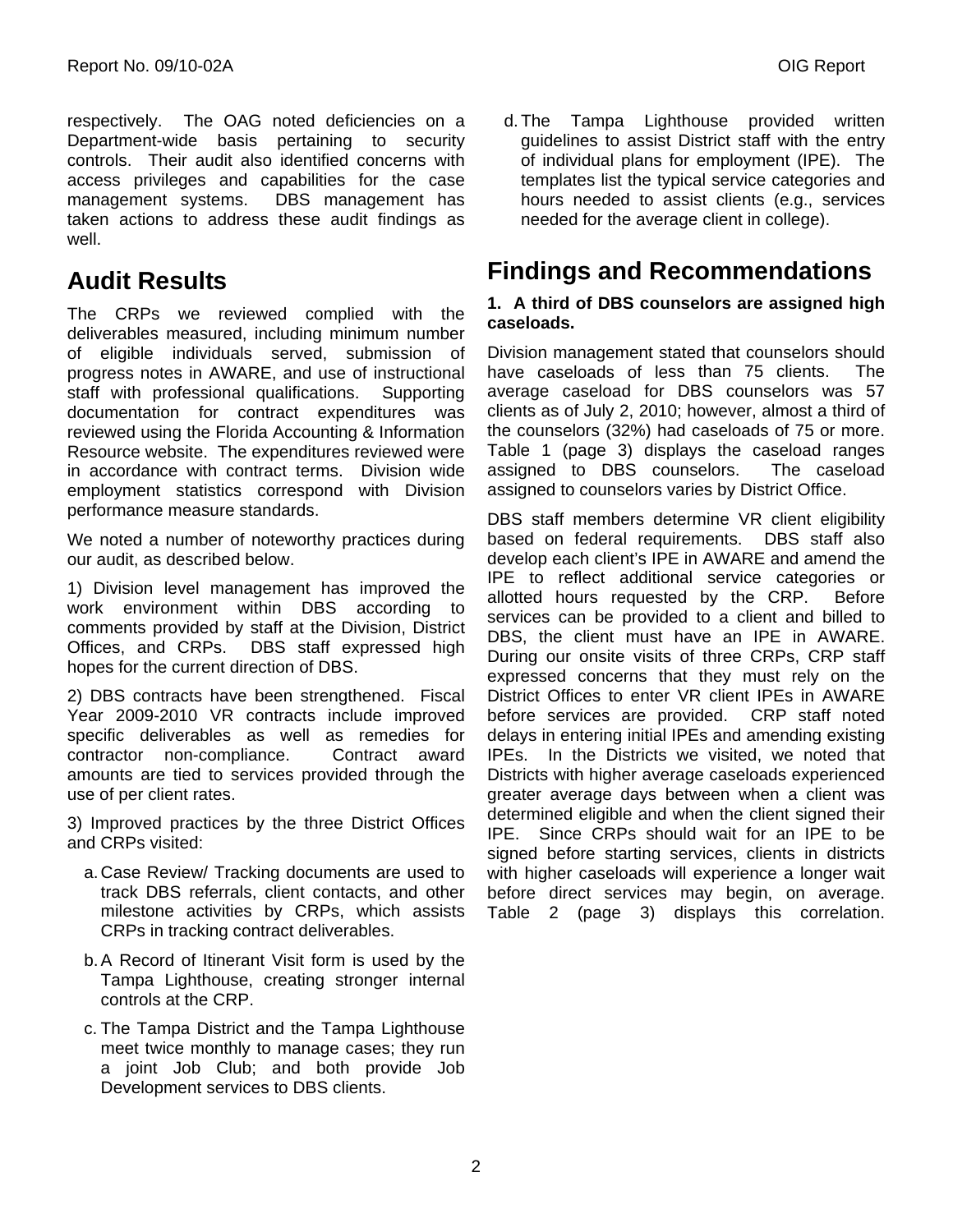respectively. The OAG noted deficiencies on a Department-wide basis pertaining to security controls. Their audit also identified concerns with access privileges and capabilities for the case management systems. DBS management has taken actions to address these audit findings as well.

### **Audit Results**

The CRPs we reviewed complied with the deliverables measured, including minimum number of eligible individuals served, submission of progress notes in AWARE, and use of instructional staff with professional qualifications. Supporting documentation for contract expenditures was reviewed using the Florida Accounting & Information Resource website. The expenditures reviewed were in accordance with contract terms. Division wide employment statistics correspond with Division performance measure standards.

We noted a number of noteworthy practices during our audit, as described below.

1) Division level management has improved the work environment within DBS according to comments provided by staff at the Division, District Offices, and CRPs. DBS staff expressed high hopes for the current direction of DBS.

2) DBS contracts have been strengthened. Fiscal Year 2009-2010 VR contracts include improved specific deliverables as well as remedies for contractor non-compliance. Contract award amounts are tied to services provided through the use of per client rates.

3) Improved practices by the three District Offices and CRPs visited:

- a. Case Review/ Tracking documents are used to track DBS referrals, client contacts, and other milestone activities by CRPs, which assists CRPs in tracking contract deliverables.
- b.A Record of Itinerant Visit form is used by the Tampa Lighthouse, creating stronger internal controls at the CRP.
- c. The Tampa District and the Tampa Lighthouse meet twice monthly to manage cases; they run a joint Job Club; and both provide Job Development services to DBS clients.

d.The Tampa Lighthouse provided written guidelines to assist District staff with the entry of individual plans for employment (IPE). The templates list the typical service categories and hours needed to assist clients (e.g., services needed for the average client in college).

### **Findings and Recommendations**

#### **1. A third of DBS counselors are assigned high caseloads.**

Division management stated that counselors should have caseloads of less than 75 clients. The average caseload for DBS counselors was 57 clients as of July 2, 2010; however, almost a third of the counselors (32%) had caseloads of 75 or more. Table 1 (page 3) displays the caseload ranges assigned to DBS counselors. The caseload assigned to counselors varies by District Office.

DBS staff members determine VR client eligibility based on federal requirements. DBS staff also develop each client's IPE in AWARE and amend the IPE to reflect additional service categories or allotted hours requested by the CRP. Before services can be provided to a client and billed to DBS, the client must have an IPE in AWARE. During our onsite visits of three CRPs, CRP staff expressed concerns that they must rely on the District Offices to enter VR client IPEs in AWARE before services are provided. CRP staff noted delays in entering initial IPEs and amending existing IPEs. In the Districts we visited, we noted that Districts with higher average caseloads experienced greater average days between when a client was determined eligible and when the client signed their IPE. Since CRPs should wait for an IPE to be signed before starting services, clients in districts with higher caseloads will experience a longer wait before direct services may begin, on average. Table 2 (page 3) displays this correlation.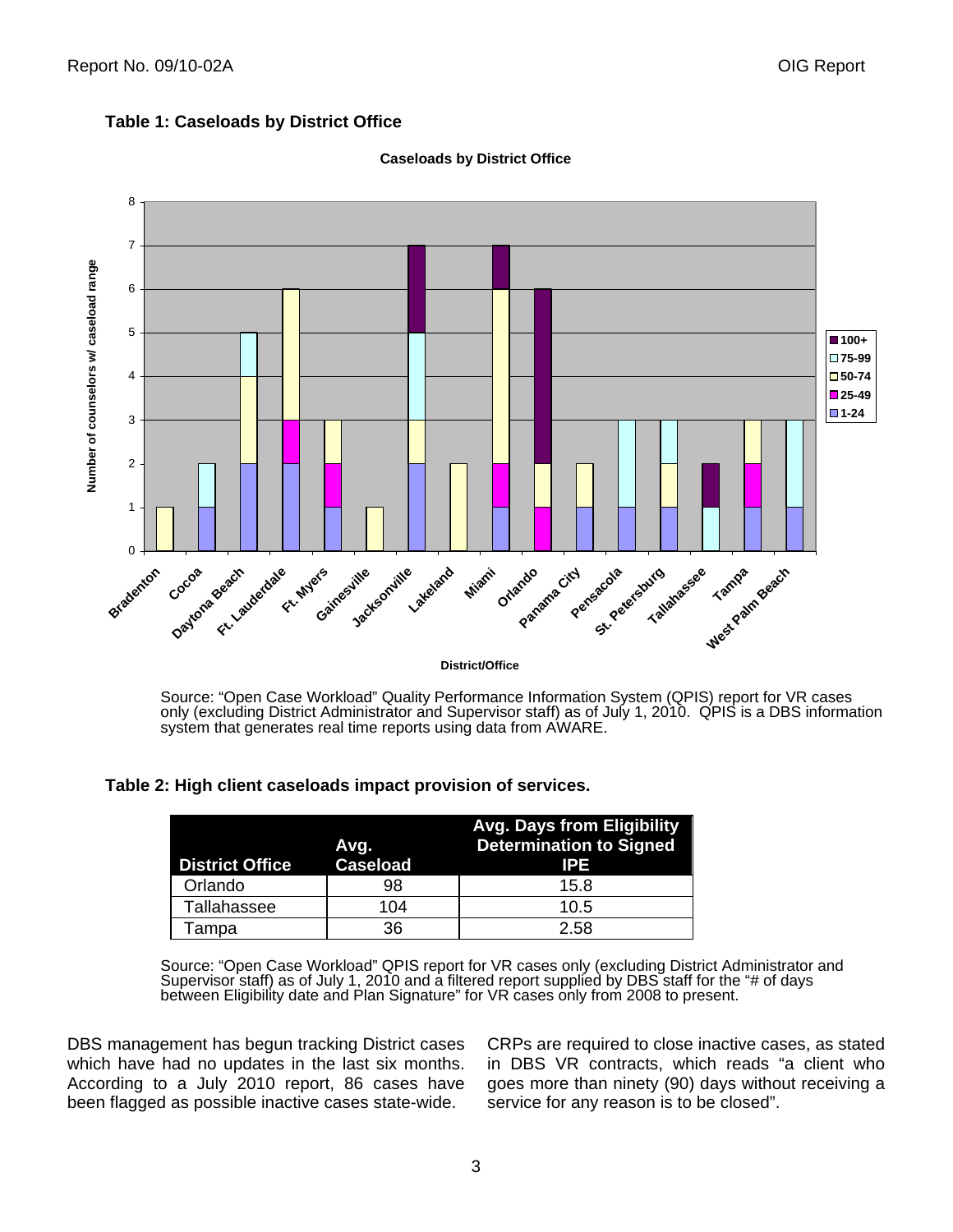



#### **Caseloads by District Office**

Source: "Open Case Workload" Quality Performance Information System (QPIS) report for VR cases only (excluding District Administrator and Supervisor staff) as of July 1, 2010. QPIS is a DBS information system that generates real time reports using data from AWARE.

 **Table 2: High client caseloads impact provision of services.** 

| <b>District Office</b> | Avg.<br><b>Caseload</b> | <b>Avg. Days from Eligibility</b><br><b>Determination to Signed</b><br>IPE |
|------------------------|-------------------------|----------------------------------------------------------------------------|
| Orlando                | 98                      | 15.8                                                                       |
| Tallahassee            | 104                     | 10.5                                                                       |
| Гаmpa                  | 36                      | 2.58                                                                       |

Source: "Open Case Workload" QPIS report for VR cases only (excluding District Administrator and Supervisor staff) as of July 1, 2010 and a filtered report supplied by DBS staff for the "# of days between Eligibility date and Plan Signature" for VR cases only from 2008 to present.

DBS management has begun tracking District cases which have had no updates in the last six months. According to a July 2010 report, 86 cases have been flagged as possible inactive cases state-wide.

CRPs are required to close inactive cases, as stated in DBS VR contracts, which reads "a client who goes more than ninety (90) days without receiving a service for any reason is to be closed".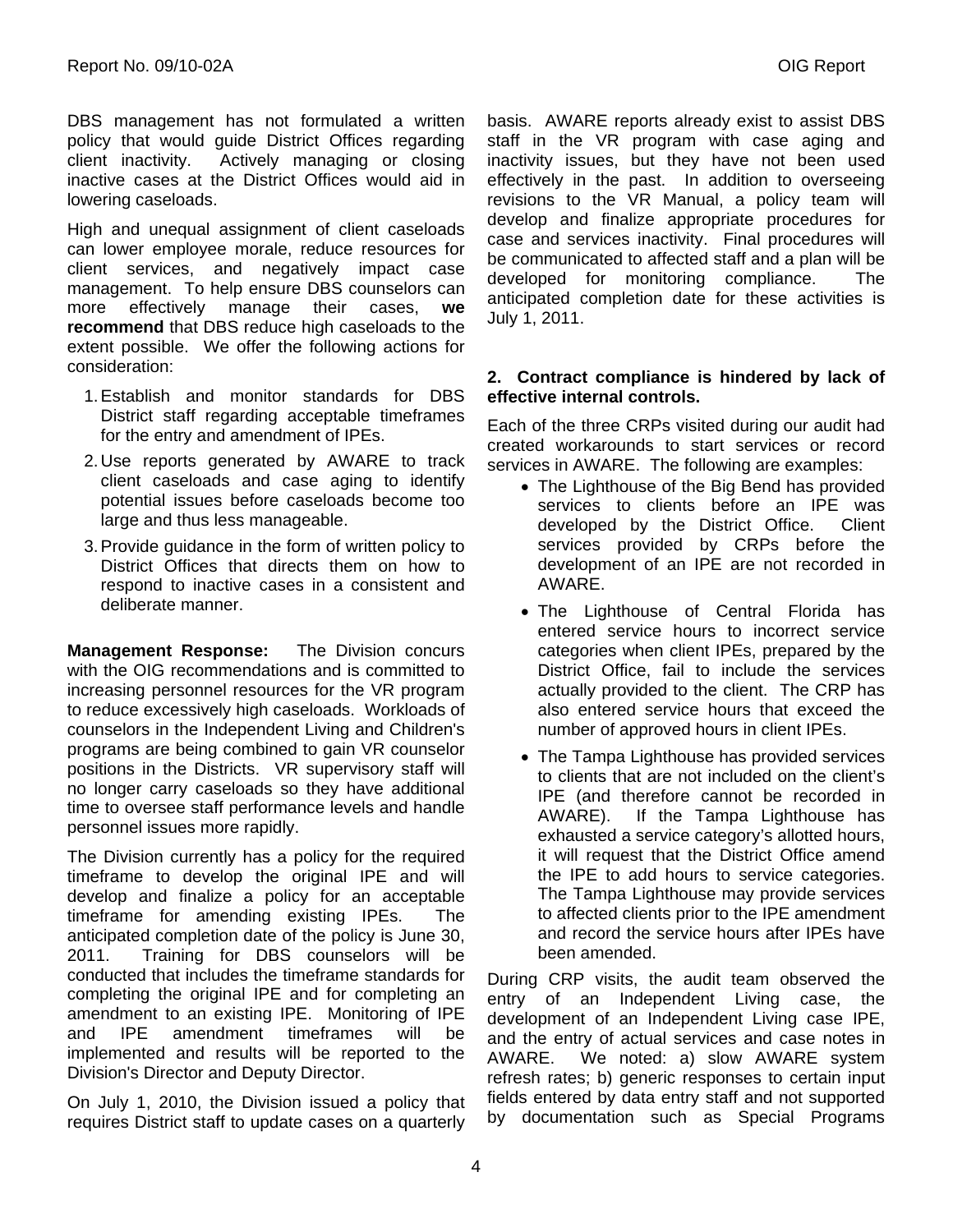DBS management has not formulated a written policy that would guide District Offices regarding client inactivity. Actively managing or closing inactive cases at the District Offices would aid in lowering caseloads.

High and unequal assignment of client caseloads can lower employee morale, reduce resources for client services, and negatively impact case management. To help ensure DBS counselors can more effectively manage their cases, **we recommend** that DBS reduce high caseloads to the extent possible. We offer the following actions for consideration:

- 1.Establish and monitor standards for DBS District staff regarding acceptable timeframes for the entry and amendment of IPEs.
- 2. Use reports generated by AWARE to track client caseloads and case aging to identify potential issues before caseloads become too large and thus less manageable.
- 3.Provide guidance in the form of written policy to District Offices that directs them on how to respond to inactive cases in a consistent and deliberate manner.

**Management Response:** The Division concurs with the OIG recommendations and is committed to increasing personnel resources for the VR program to reduce excessively high caseloads. Workloads of counselors in the Independent Living and Children's programs are being combined to gain VR counselor positions in the Districts. VR supervisory staff will no longer carry caseloads so they have additional time to oversee staff performance levels and handle personnel issues more rapidly.

The Division currently has a policy for the required timeframe to develop the original IPE and will develop and finalize a policy for an acceptable timeframe for amending existing IPEs. The anticipated completion date of the policy is June 30, 2011. Training for DBS counselors will be conducted that includes the timeframe standards for completing the original IPE and for completing an amendment to an existing IPE. Monitoring of IPE and IPE amendment timeframes will be implemented and results will be reported to the Division's Director and Deputy Director.

On July 1, 2010, the Division issued a policy that requires District staff to update cases on a quarterly basis. AWARE reports already exist to assist DBS staff in the VR program with case aging and inactivity issues, but they have not been used effectively in the past. In addition to overseeing revisions to the VR Manual, a policy team will develop and finalize appropriate procedures for case and services inactivity. Final procedures will be communicated to affected staff and a plan will be developed for monitoring compliance. The anticipated completion date for these activities is July 1, 2011.

### **2. Contract compliance is hindered by lack of effective internal controls.**

Each of the three CRPs visited during our audit had created workarounds to start services or record services in AWARE. The following are examples:

- The Lighthouse of the Big Bend has provided services to clients before an IPE was developed by the District Office. Client services provided by CRPs before the development of an IPE are not recorded in AWARE.
- The Lighthouse of Central Florida has entered service hours to incorrect service categories when client IPEs, prepared by the District Office, fail to include the services actually provided to the client. The CRP has also entered service hours that exceed the number of approved hours in client IPEs.
- The Tampa Lighthouse has provided services to clients that are not included on the client's IPE (and therefore cannot be recorded in AWARE). If the Tampa Lighthouse has exhausted a service category's allotted hours, it will request that the District Office amend the IPE to add hours to service categories. The Tampa Lighthouse may provide services to affected clients prior to the IPE amendment and record the service hours after IPEs have been amended.

During CRP visits, the audit team observed the entry of an Independent Living case, the development of an Independent Living case IPE, and the entry of actual services and case notes in AWARE. We noted: a) slow AWARE system refresh rates; b) generic responses to certain input fields entered by data entry staff and not supported by documentation such as Special Programs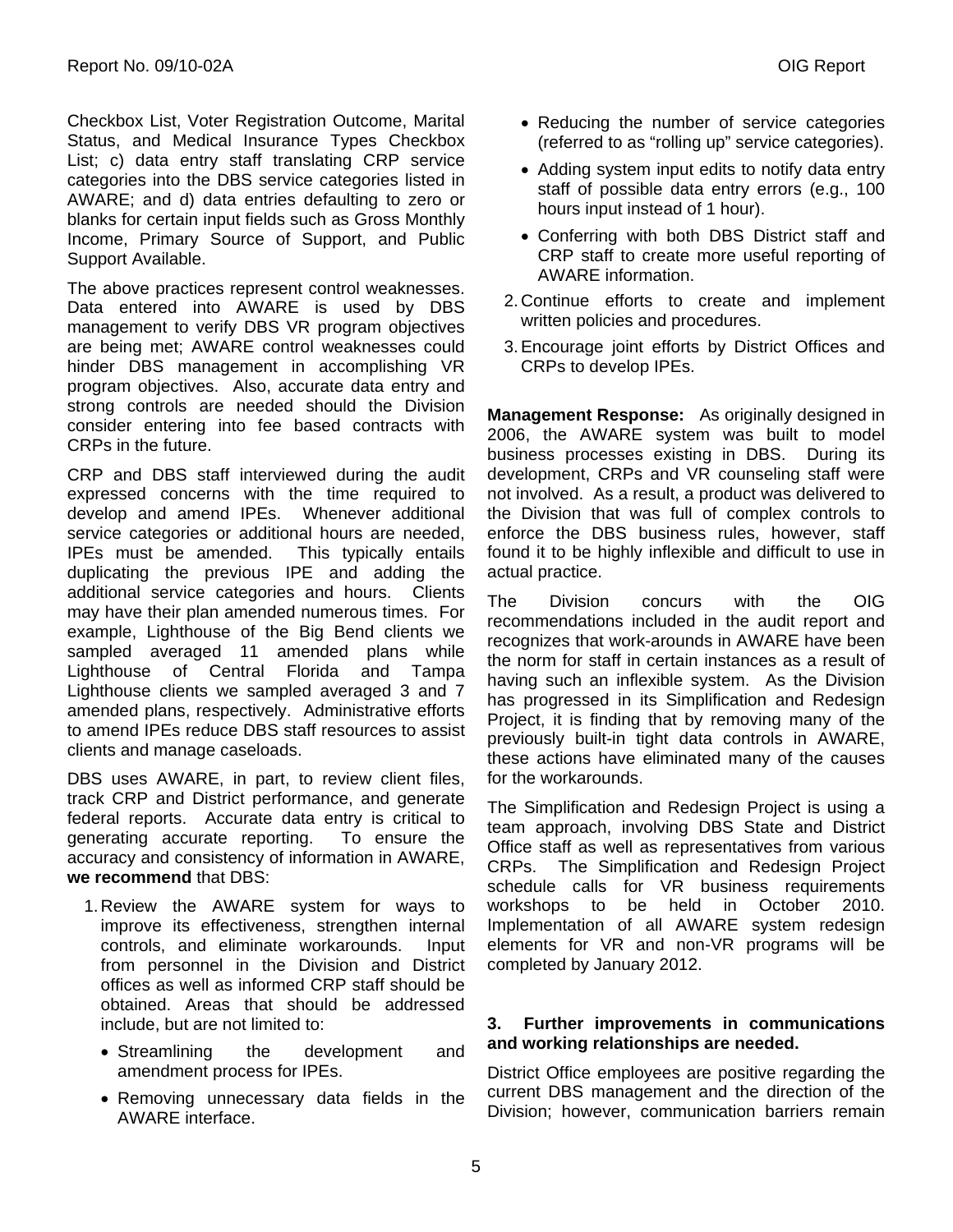Checkbox List, Voter Registration Outcome, Marital Status, and Medical Insurance Types Checkbox List; c) data entry staff translating CRP service categories into the DBS service categories listed in AWARE; and d) data entries defaulting to zero or blanks for certain input fields such as Gross Monthly Income, Primary Source of Support, and Public Support Available.

The above practices represent control weaknesses. Data entered into AWARE is used by DBS management to verify DBS VR program objectives are being met; AWARE control weaknesses could hinder DBS management in accomplishing VR program objectives. Also, accurate data entry and strong controls are needed should the Division consider entering into fee based contracts with CRPs in the future.

CRP and DBS staff interviewed during the audit expressed concerns with the time required to develop and amend IPEs. Whenever additional service categories or additional hours are needed, IPEs must be amended. This typically entails duplicating the previous IPE and adding the additional service categories and hours. Clients may have their plan amended numerous times. For example, Lighthouse of the Big Bend clients we sampled averaged 11 amended plans while Lighthouse of Central Florida and Tampa Lighthouse clients we sampled averaged 3 and 7 amended plans, respectively. Administrative efforts to amend IPEs reduce DBS staff resources to assist clients and manage caseloads.

DBS uses AWARE, in part, to review client files, track CRP and District performance, and generate federal reports. Accurate data entry is critical to generating accurate reporting. To ensure the accuracy and consistency of information in AWARE, **we recommend** that DBS:

- 1. Review the AWARE system for ways to improve its effectiveness, strengthen internal controls, and eliminate workarounds. Input from personnel in the Division and District offices as well as informed CRP staff should be obtained. Areas that should be addressed include, but are not limited to:
	- Streamlining the development and amendment process for IPEs.
	- Removing unnecessary data fields in the AWARE interface.
- Reducing the number of service categories (referred to as "rolling up" service categories).
- Adding system input edits to notify data entry staff of possible data entry errors (e.g., 100 hours input instead of 1 hour).
- Conferring with both DBS District staff and CRP staff to create more useful reporting of AWARE information.
- 2. Continue efforts to create and implement written policies and procedures.
- 3.Encourage joint efforts by District Offices and CRPs to develop IPEs.

**Management Response:** As originally designed in 2006, the AWARE system was built to model business processes existing in DBS. During its development, CRPs and VR counseling staff were not involved. As a result, a product was delivered to the Division that was full of complex controls to enforce the DBS business rules, however, staff found it to be highly inflexible and difficult to use in actual practice.

The Division concurs with the OIG recommendations included in the audit report and recognizes that work-arounds in AWARE have been the norm for staff in certain instances as a result of having such an inflexible system. As the Division has progressed in its Simplification and Redesign Project, it is finding that by removing many of the previously built-in tight data controls in AWARE, these actions have eliminated many of the causes for the workarounds.

The Simplification and Redesign Project is using a team approach, involving DBS State and District Office staff as well as representatives from various CRPs. The Simplification and Redesign Project schedule calls for VR business requirements workshops to be held in October 2010. Implementation of all AWARE system redesign elements for VR and non-VR programs will be completed by January 2012.

#### **3. Further improvements in communications and working relationships are needed.**

District Office employees are positive regarding the current DBS management and the direction of the Division; however, communication barriers remain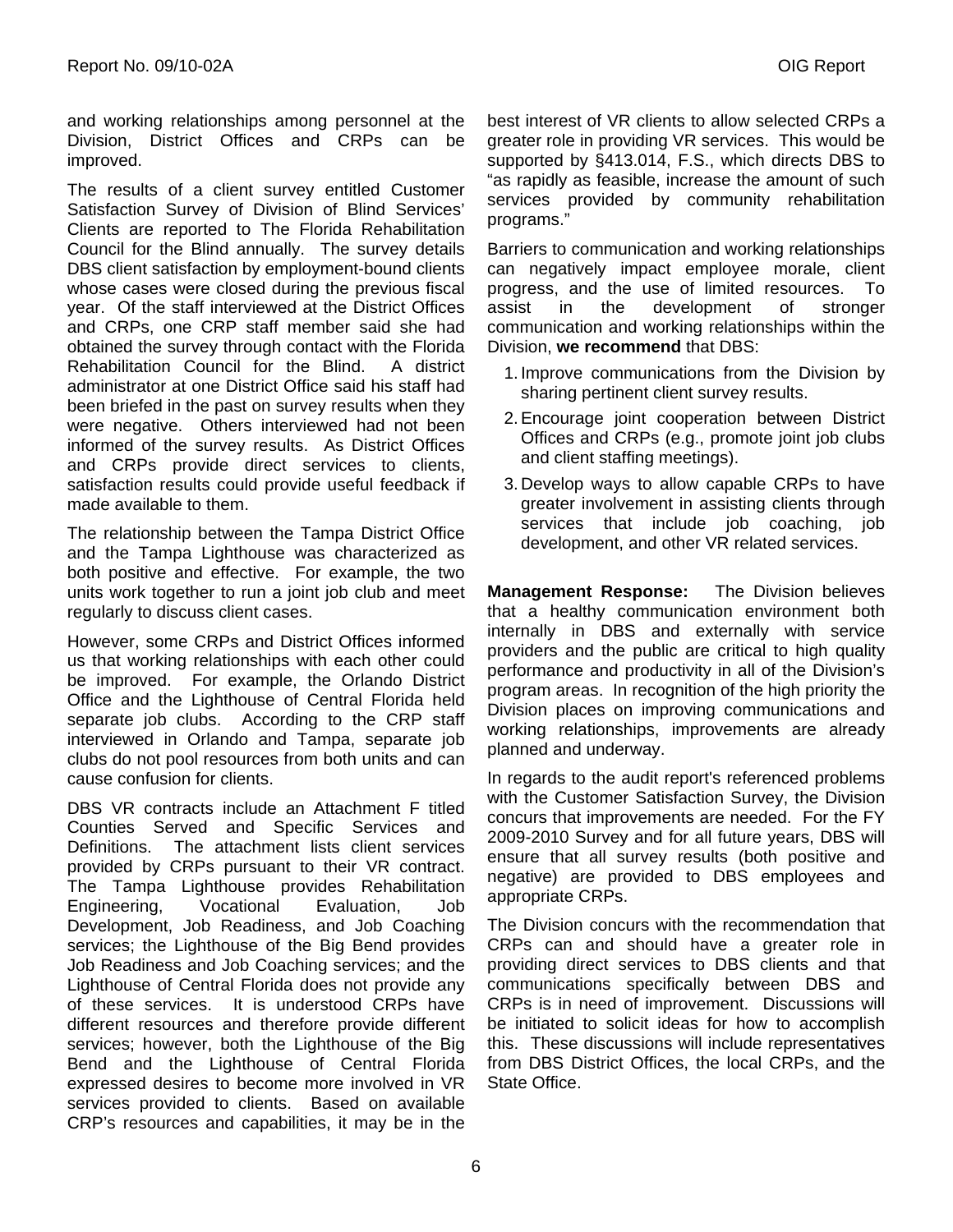and working relationships among personnel at the Division, District Offices and CRPs can be improved.

The results of a client survey entitled Customer Satisfaction Survey of Division of Blind Services' Clients are reported to The Florida Rehabilitation Council for the Blind annually. The survey details DBS client satisfaction by employment-bound clients whose cases were closed during the previous fiscal year. Of the staff interviewed at the District Offices and CRPs, one CRP staff member said she had obtained the survey through contact with the Florida Rehabilitation Council for the Blind. A district administrator at one District Office said his staff had been briefed in the past on survey results when they were negative. Others interviewed had not been informed of the survey results. As District Offices and CRPs provide direct services to clients, satisfaction results could provide useful feedback if made available to them.

The relationship between the Tampa District Office and the Tampa Lighthouse was characterized as both positive and effective. For example, the two units work together to run a joint job club and meet regularly to discuss client cases.

However, some CRPs and District Offices informed us that working relationships with each other could be improved. For example, the Orlando District Office and the Lighthouse of Central Florida held separate job clubs. According to the CRP staff interviewed in Orlando and Tampa, separate job clubs do not pool resources from both units and can cause confusion for clients.

DBS VR contracts include an Attachment F titled Counties Served and Specific Services and Definitions. The attachment lists client services provided by CRPs pursuant to their VR contract. The Tampa Lighthouse provides Rehabilitation Engineering, Vocational Evaluation, Job Development, Job Readiness, and Job Coaching services; the Lighthouse of the Big Bend provides Job Readiness and Job Coaching services; and the Lighthouse of Central Florida does not provide any of these services. It is understood CRPs have different resources and therefore provide different services; however, both the Lighthouse of the Big Bend and the Lighthouse of Central Florida expressed desires to become more involved in VR services provided to clients. Based on available CRP's resources and capabilities, it may be in the

best interest of VR clients to allow selected CRPs a greater role in providing VR services. This would be supported by §413.014, F.S., which directs DBS to "as rapidly as feasible, increase the amount of such services provided by community rehabilitation programs."

Barriers to communication and working relationships can negatively impact employee morale, client progress, and the use of limited resources. To assist in the development of stronger communication and working relationships within the Division, **we recommend** that DBS:

- 1. Improve communications from the Division by sharing pertinent client survey results.
- 2.Encourage joint cooperation between District Offices and CRPs (e.g., promote joint job clubs and client staffing meetings).
- 3. Develop ways to allow capable CRPs to have greater involvement in assisting clients through services that include job coaching, job development, and other VR related services.

**Management Response:** The Division believes that a healthy communication environment both internally in DBS and externally with service providers and the public are critical to high quality performance and productivity in all of the Division's program areas. In recognition of the high priority the Division places on improving communications and working relationships, improvements are already planned and underway.

In regards to the audit report's referenced problems with the Customer Satisfaction Survey, the Division concurs that improvements are needed. For the FY 2009-2010 Survey and for all future years, DBS will ensure that all survey results (both positive and negative) are provided to DBS employees and appropriate CRPs.

The Division concurs with the recommendation that CRPs can and should have a greater role in providing direct services to DBS clients and that communications specifically between DBS and CRPs is in need of improvement. Discussions will be initiated to solicit ideas for how to accomplish this. These discussions will include representatives from DBS District Offices, the local CRPs, and the State Office.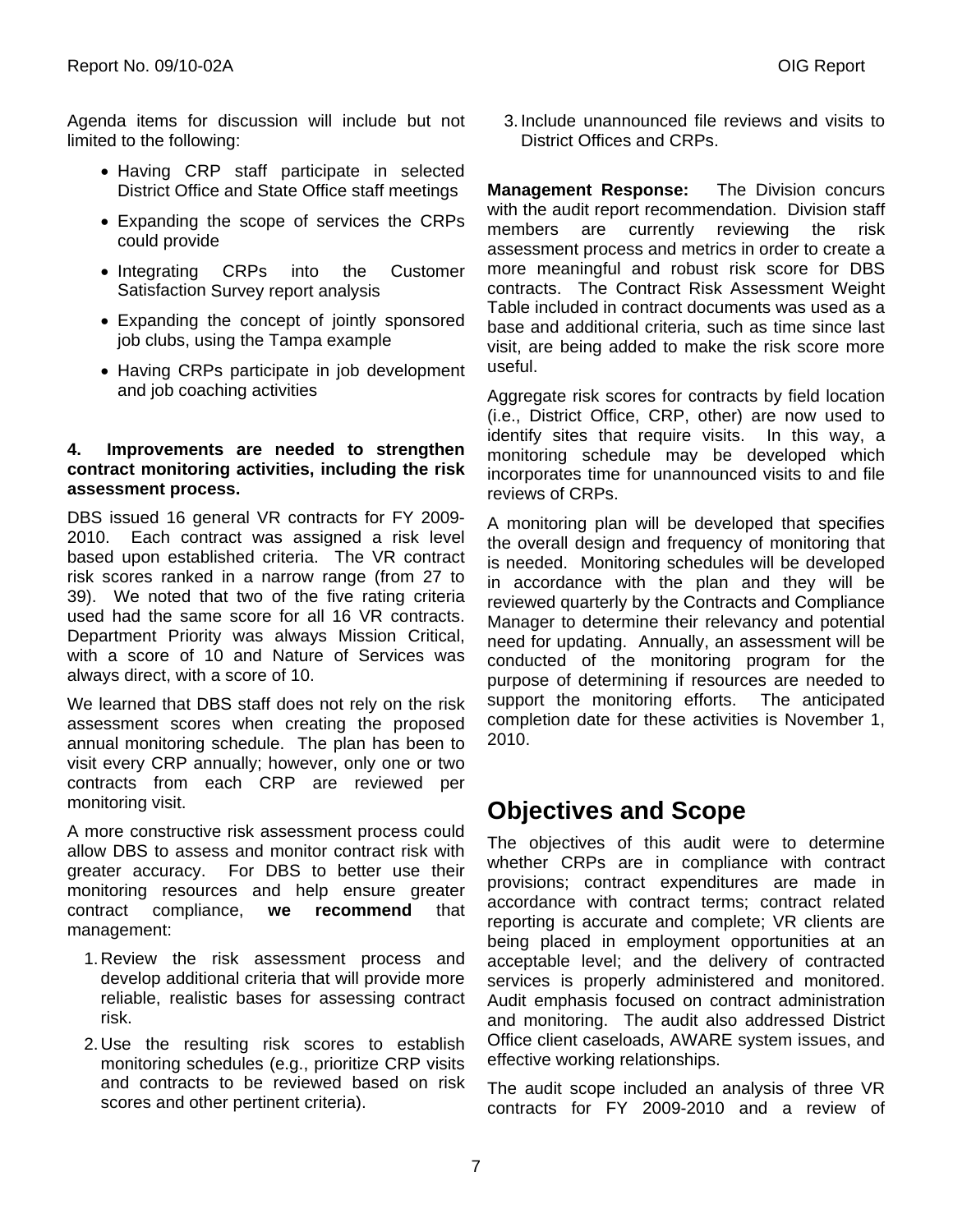Agenda items for discussion will include but not limited to the following:

- Having CRP staff participate in selected District Office and State Office staff meetings
- Expanding the scope of services the CRPs could provide
- Integrating CRPs into the Customer Satisfaction Survey report analysis
- Expanding the concept of jointly sponsored job clubs, using the Tampa example
- Having CRPs participate in job development and job coaching activities

### **4. Improvements are needed to strengthen contract monitoring activities, including the risk assessment process.**

DBS issued 16 general VR contracts for FY 2009- 2010. Each contract was assigned a risk level based upon established criteria. The VR contract risk scores ranked in a narrow range (from 27 to 39). We noted that two of the five rating criteria used had the same score for all 16 VR contracts. Department Priority was always Mission Critical, with a score of 10 and Nature of Services was always direct, with a score of 10.

We learned that DBS staff does not rely on the risk assessment scores when creating the proposed annual monitoring schedule. The plan has been to visit every CRP annually; however, only one or two contracts from each CRP are reviewed per monitoring visit.

A more constructive risk assessment process could allow DBS to assess and monitor contract risk with greater accuracy. For DBS to better use their monitoring resources and help ensure greater contract compliance, **we recommend** that management:

- 1. Review the risk assessment process and develop additional criteria that will provide more reliable, realistic bases for assessing contract risk.
- 2. Use the resulting risk scores to establish monitoring schedules (e.g., prioritize CRP visits and contracts to be reviewed based on risk scores and other pertinent criteria).

3. Include unannounced file reviews and visits to District Offices and CRPs.

**Management Response:** The Division concurs with the audit report recommendation. Division staff members are currently reviewing the risk assessment process and metrics in order to create a more meaningful and robust risk score for DBS contracts. The Contract Risk Assessment Weight Table included in contract documents was used as a base and additional criteria, such as time since last visit, are being added to make the risk score more useful.

Aggregate risk scores for contracts by field location (i.e., District Office, CRP, other) are now used to identify sites that require visits. In this way, a monitoring schedule may be developed which incorporates time for unannounced visits to and file reviews of CRPs.

A monitoring plan will be developed that specifies the overall design and frequency of monitoring that is needed. Monitoring schedules will be developed in accordance with the plan and they will be reviewed quarterly by the Contracts and Compliance Manager to determine their relevancy and potential need for updating. Annually, an assessment will be conducted of the monitoring program for the purpose of determining if resources are needed to support the monitoring efforts. The anticipated completion date for these activities is November 1, 2010.

### **Objectives and Scope**

The objectives of this audit were to determine whether CRPs are in compliance with contract provisions; contract expenditures are made in accordance with contract terms; contract related reporting is accurate and complete; VR clients are being placed in employment opportunities at an acceptable level; and the delivery of contracted services is properly administered and monitored. Audit emphasis focused on contract administration and monitoring. The audit also addressed District Office client caseloads, AWARE system issues, and effective working relationships.

The audit scope included an analysis of three VR contracts for FY 2009-2010 and a review of